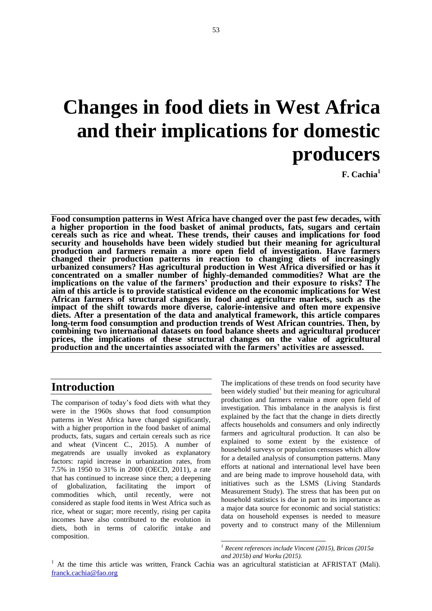# **Changes in food diets in West Africa and their implications for domestic producers**

**F. Cachia<sup>1</sup>**

**Food consumption patterns in West Africa have changed over the past few decades, with a higher proportion in the food basket of animal products, fats, sugars and certain cereals such as rice and wheat. These trends, their causes and implications for food security and households have been widely studied but their meaning for agricultural production and farmers remain a more open field of investigation. Have farmers changed their production patterns in reaction to changing diets of increasingly urbanized consumers? Has agricultural production in West Africa diversified or has it concentrated on a smaller number of highly-demanded commodities? What are the implications on the value of the farmers' production and their exposure to risks? The aim of this article is to provide statistical evidence on the economic implications for West African farmers of structural changes in food and agriculture markets, such as the impact of the shift towards more diverse, calorie-intensive and often more expensive diets. After a presentation of the data and analytical framework, this article compares long-term food consumption and production trends of West African countries. Then, by combining two international datasets on food balance sheets and agricultural producer prices, the implications of these structural changes on the value of agricultural production and the uncertainties associated with the farmers' activities are assessed.**

1

## **Introduction**

The comparison of today's food diets with what they were in the 1960s shows that food consumption patterns in West Africa have changed significantly, with a higher proportion in the food basket of animal products, fats, sugars and certain cereals such as rice and wheat (Vincent C., 2015). A number of megatrends are usually invoked as explanatory factors: rapid increase in urbanization rates, from 7.5% in 1950 to 31% in 2000 (OECD, 2011), a rate that has continued to increase since then; a deepening of globalization, facilitating the import of commodities which, until recently, were not considered as staple food items in West Africa such as rice, wheat or sugar; more recently, rising per capita incomes have also contributed to the evolution in diets, both in terms of calorific intake and composition.

The implications of these trends on food security have been widely studied<sup>1</sup> but their meaning for agricultural production and farmers remain a more open field of investigation. This imbalance in the analysis is first explained by the fact that the change in diets directly affects households and consumers and only indirectly farmers and agricultural production. It can also be explained to some extent by the existence of household surveys or population censuses which allow for a detailed analysis of consumption patterns. Many efforts at national and international level have been and are being made to improve household data, with initiatives such as the LSMS (Living Standards Measurement Study). The stress that has been put on household statistics is due in part to its importance as a major data source for economic and social statistics: data on household expenses is needed to measure poverty and to construct many of the Millennium

*<sup>1</sup> Recent references include Vincent (2015), Bricas (2015a and 2015b) and Worku (2015).*

<sup>&</sup>lt;sup>1</sup> At the time this article was written, Franck Cachia was an agricultural statistician at AFRISTAT (Mali). franck.cachia@fao.org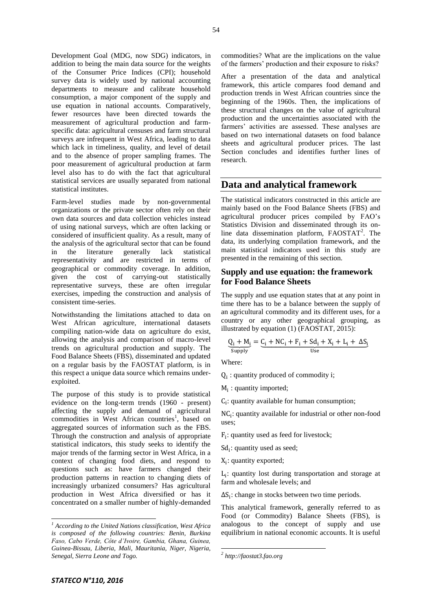Development Goal (MDG, now SDG) indicators, in addition to being the main data source for the weights of the Consumer Price Indices (CPI); household survey data is widely used by national accounting departments to measure and calibrate household consumption, a major component of the supply and use equation in national accounts. Comparatively, fewer resources have been directed towards the measurement of agricultural production and farmspecific data: agricultural censuses and farm structural surveys are infrequent in West Africa, leading to data which lack in timeliness, quality, and level of detail and to the absence of proper sampling frames. The poor measurement of agricultural production at farm level also has to do with the fact that agricultural statistical services are usually separated from national statistical institutes.

Farm-level studies made by non-governmental organizations or the private sector often rely on their own data sources and data collection vehicles instead of using national surveys, which are often lacking or considered of insufficient quality. As a result, many of the analysis of the agricultural sector that can be found in the literature generally lack statistical representativity and are restricted in terms of geographical or commodity coverage. In addition, given the cost of carrying-out statistically representative surveys, these are often irregular exercises, impeding the construction and analysis of consistent time-series.

Notwithstanding the limitations attached to data on West African agriculture, international datasets compiling nation-wide data on agriculture do exist, allowing the analysis and comparison of macro-level trends on agricultural production and supply. The Food Balance Sheets (FBS), disseminated and updated on a regular basis by the FAOSTAT platform, is in this respect a unique data source which remains underexploited.

The purpose of this study is to provide statistical evidence on the long-term trends (1960 - present) affecting the supply and demand of agricultural commodities in West African countries<sup>1</sup>, based on aggregated sources of information such as the FBS. Through the construction and analysis of appropriate statistical indicators, this study seeks to identify the major trends of the farming sector in West Africa, in a context of changing food diets, and respond to questions such as: have farmers changed their production patterns in reaction to changing diets of increasingly urbanized consumers? Has agricultural production in West Africa diversified or has it concentrated on a smaller number of highly-demanded

commodities? What are the implications on the value of the farmers' production and their exposure to risks?

After a presentation of the data and analytical framework, this article compares food demand and production trends in West African countries since the beginning of the 1960s. Then, the implications of these structural changes on the value of agricultural production and the uncertainties associated with the farmers' activities are assessed. These analyses are based on two international datasets on food balance sheets and agricultural producer prices. The last Section concludes and identifies further lines of research.

## **Data and analytical framework**

The statistical indicators constructed in this article are mainly based on the Food Balance Sheets (FBS) and agricultural producer prices compiled by FAO's Statistics Division and disseminated through its online data dissemination platform, FAOSTAT<sup>2</sup>. The data, its underlying compilation framework, and the main statistical indicators used in this study are presented in the remaining of this section.

#### **Supply and use equation: the framework for Food Balance Sheets**

The supply and use equation states that at any point in time there has to be a balance between the supply of an agricultural commodity and its different uses, for a country or any other geographical grouping, as illustrated by equation (1) (FAOSTAT, 2015):

$$
\underbrace{Q_i + M_i}_{Supply} = \underbrace{C_i + NC_i + F_i + Sd_i + X_i + L_i + \Delta S_i}_{Use}
$$

Where:

 $Q_i$ : quantity produced of commodity i;

 $M_i$ : quantity imported;

 $C_i$ : quantity available for human consumption;

 $NC_i$ : quantity available for industrial or other non-food uses;

 $F_i$ : quantity used as feed for livestock;

 $Sd_i$ : quantity used as seed;

 $X_i$ : quantity exported;

 $L_i$ : quantity lost during transportation and storage at farm and wholesale levels; and

 $\Delta S_i$ : change in stocks between two time periods.

This analytical framework, generally referred to as Food (or Commodity) Balance Sheets (FBS), is analogous to the concept of supply and use equilibrium in national economic accounts. It is useful

1

 $\overline{a}$ 

*<sup>1</sup> According to the United Nations classification, West Africa is composed of the following countries: Benin, Burkina Faso, Cabo Verde, Côte d'Ivoire, Gambia, Ghana, Guinea, Guinea-Bissau, Liberia, Mali, Mauritania, Niger, Nigeria, Senegal, Sierra Leone and Togo.*

*<sup>2</sup> [http://faostat3.fao.org](http://faostat3.fao.org/)*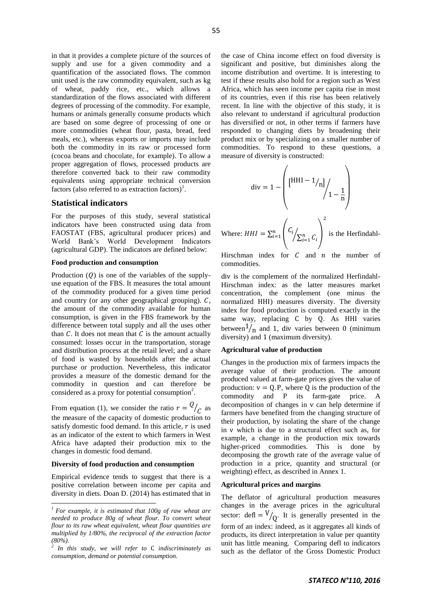in that it provides a complete picture of the sources of supply and use for a given commodity and a quantification of the associated flows. The common unit used is the raw commodity equivalent, such as kg of wheat, paddy rice, etc., which allows a standardization of the flows associated with different degrees of processing of the commodity. For example, humans or animals generally consume products which are based on some degree of processing of one or more commodities (wheat flour, pasta, bread, feed meals, etc.), whereas exports or imports may include both the commodity in its raw or processed form (cocoa beans and chocolate, for example). To allow a proper aggregation of flows, processed products are therefore converted back to their raw commodity equivalents using appropriate technical conversion factors (also referred to as extraction factors)<sup>1</sup>.

#### **Statistical indicators**

For the purposes of this study, several statistical indicators have been constructed using data from FAOSTAT (FBS, agricultural producer prices) and World Bank's World Development Indicators (agricultural GDP). The indicators are defined below:

#### **Food production and consumption**

Production  $(Q)$  is one of the variables of the supplyuse equation of the FBS. It measures the total amount of the commodity produced for a given time period and country (or any other geographical grouping).  $C$ , the amount of the commodity available for human consumption, is given in the FBS framework by the difference between total supply and all the uses other than  $C$ . It does not mean that  $C$  is the amount actually consumed: losses occur in the transportation, storage and distribution process at the retail level; and a share of food is wasted by households after the actual purchase or production. Nevertheless, this indicator provides a measure of the domestic demand for the commodity in question and can therefore be considered as a proxy for potential consumption<sup>2</sup>.

From equation (1), we consider the ratio  $r = Q$  $\frac{1}{c}$  as the measure of the capacity of domestic production to satisfy domestic food demand. In this article,  $r$  is used as an indicator of the extent to which farmers in West Africa have adapted their production mix to the changes in domestic food demand.

#### **Diversity of food production and consumption**

l

Empirical evidence tends to suggest that there is a positive correlation between income per capita and diversity in diets. Doan D. (2014) has estimated that in

the case of China income effect on food diversity is significant and positive, but diminishes along the income distribution and overtime. It is interesting to test if these results also hold for a region such as West Africa, which has seen income per capita rise in most of its countries, even if this rise has been relatively recent. In line with the objective of this study, it is also relevant to understand if agricultural production has diversified or not, in other terms if farmers have responded to changing diets by broadening their product mix or by specializing on a smaller number of commodities. To respond to these questions, a measure of diversity is constructed:

$$
\text{div} = 1 - \left( \left[ \frac{\text{HHI} - 1}{n} \right]_{1} - \frac{1}{n} \right)
$$
\nWhere:  $HHI = \sum_{i=1}^{n} \left( \frac{C_i}{\sum_{i=1}^{n} C_i} \right)^2$  is the Herfindahl-

Hirschman index for  $C$  and  $n$  the number of commodities.

div is the complement of the normalized Herfindahl-Hirschman index: as the latter measures market concentration, the complement (one minus the normalized HHI) measures diversity. The diversity index for food production is computed exactly in the same way, replacing C by Q. As HHI varies between  $1/n$  and 1, div varies between 0 (minimum diversity) and 1 (maximum diversity).

#### **Agricultural value of production**

Changes in the production mix of farmers impacts the average value of their production. The amount produced valued at farm-gate prices gives the value of production:  $v = Q$ . P, where Q is the production of the commodity and P its farm-gate price. A decomposition of changes in v can help determine if farmers have benefited from the changing structure of their production, by isolating the share of the change in which is due to a structural effect such as, for example, a change in the production mix towards higher-priced commodities. This is done by decomposing the growth rate of the average value of production in a price, quantity and structural (or weighting) effect, as described in Annex 1.

#### **Agricultural prices and margins**

The deflator of agricultural production measures changes in the average prices in the agricultural sector:  $\text{defl} = \frac{V}{Q}$ . It is generally presented in the form of an index: indeed, as it aggregates all kinds of products, its direct interpretation in value per quantity unit has little meaning. Comparing defl to indicators such as the deflator of the Gross Domestic Product

*<sup>1</sup> For example, it is estimated that 100g of raw wheat are needed to produce 80g of wheat flour. To convert wheat flour to its raw wheat equivalent, wheat flour quantities are multiplied by 1/80%, the reciprocal of the extraction factor (80%). 2*

In this study, we will refer to C indiscriminately as *consumption, demand or potential consumption.*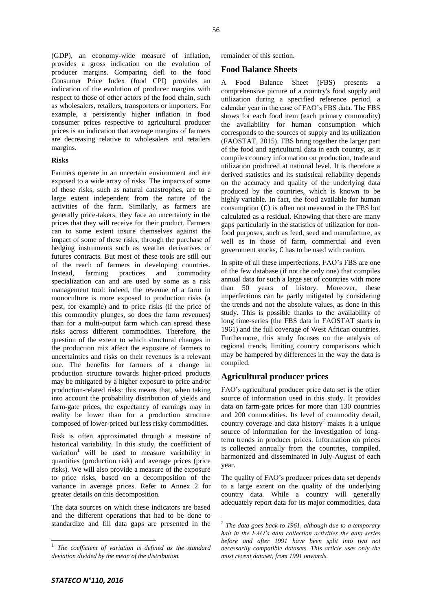(GDP), an economy-wide measure of inflation, provides a gross indication on the evolution of producer margins. Comparing defl to the food Consumer Price Index (food CPI) provides an indication of the evolution of producer margins with respect to those of other actors of the food chain, such as wholesalers, retailers, transporters or importers. For example, a persistently higher inflation in food consumer prices respective to agricultural producer prices is an indication that average margins of farmers are decreasing relative to wholesalers and retailers margins.

#### **Risks**

Farmers operate in an uncertain environment and are exposed to a wide array of risks. The impacts of some of these risks, such as natural catastrophes, are to a large extent independent from the nature of the activities of the farm. Similarly, as farmers are generally price-takers, they face an uncertainty in the prices that they will receive for their product. Farmers can to some extent insure themselves against the impact of some of these risks, through the purchase of hedging instruments such as weather derivatives or futures contracts. But most of these tools are still out of the reach of farmers in developing countries. Instead, farming practices and commodity specialization can and are used by some as a risk management tool: indeed, the revenue of a farm in monoculture is more exposed to production risks (a pest, for example) and to price risks (if the price of this commodity plunges, so does the farm revenues) than for a multi-output farm which can spread these risks across different commodities. Therefore, the question of the extent to which structural changes in the production mix affect the exposure of farmers to uncertainties and risks on their revenues is a relevant one. The benefits for farmers of a change in production structure towards higher-priced products may be mitigated by a higher exposure to price and/or production-related risks: this means that, when taking into account the probability distribution of yields and farm-gate prices, the expectancy of earnings may in reality be lower than for a production structure composed of lower-priced but less risky commodities.

Risk is often approximated through a measure of historical variability. In this study, the coefficient of variation<sup>1</sup> will be used to measure variability in quantities (production risk) and average prices (price risks). We will also provide a measure of the exposure to price risks, based on a decomposition of the variance in average prices. Refer to Annex 2 for greater details on this decomposition.

The data sources on which these indicators are based and the different operations that had to be done to standardize and fill data gaps are presented in the remainder of this section.

#### **Food Balance Sheets**

A Food Balance Sheet (FBS) presents a comprehensive picture of a country's food supply and utilization during a specified reference period, a calendar year in the case of FAO's FBS data. The FBS shows for each food item (each primary commodity) the availability for human consumption which corresponds to the sources of supply and its utilization (FAOSTAT, 2015). FBS bring together the larger part of the food and agricultural data in each country, as it compiles country information on production, trade and utilization produced at national level. It is therefore a derived statistics and its statistical reliability depends on the accuracy and quality of the underlying data produced by the countries, which is known to be highly variable. In fact, the food available for human consumption  $(C)$  is often not measured in the FBS but calculated as a residual. Knowing that there are many gaps particularly in the statistics of utilization for nonfood purposes, such as feed, seed and manufacture, as well as in those of farm, commercial and even government stocks, C has to be used with caution.

In spite of all these imperfections, FAO's FBS are one of the few database (if not the only one) that compiles annual data for such a large set of countries with more than 50 years of history. Moreover, these imperfections can be partly mitigated by considering the trends and not the absolute values, as done in this study. This is possible thanks to the availability of long time-series (the FBS data in FAOSTAT starts in 1961) and the full coverage of West African countries. Furthermore, this study focuses on the analysis of regional trends, limiting country comparisons which may be hampered by differences in the way the data is compiled.

#### **Agricultural producer prices**

1

FAO's agricultural producer price data set is the other source of information used in this study. It provides data on farm-gate prices for more than 130 countries and 200 commodities. Its level of commodity detail, country coverage and data history<sup>2</sup> makes it a unique source of information for the investigation of longterm trends in producer prices. Information on prices is collected annually from the countries, compiled, harmonized and disseminated in July-August of each year.

The quality of FAO's producer prices data set depends to a large extent on the quality of the underlying country data. While a country will generally adequately report data for its major commodities, data

 $\overline{a}$ 

<sup>&</sup>lt;sup>1</sup> The coefficient of variation is defined as the standard *deviation divided by the mean of the distribution.*

<sup>2</sup> *The data goes back to 1961, although due to a temporary halt in the FAO's data collection activities the data series before and after 1991 have been split into two not necessarily compatible datasets. This article uses only the most recent dataset, from 1991 onwards.*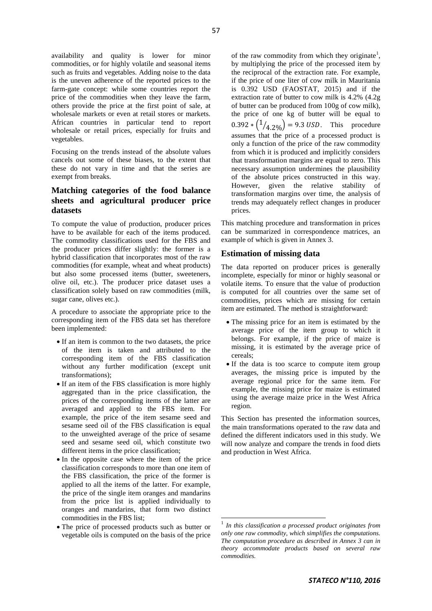availability and quality is lower for minor commodities, or for highly volatile and seasonal items such as fruits and vegetables. Adding noise to the data is the uneven adherence of the reported prices to the farm-gate concept: while some countries report the price of the commodities when they leave the farm, others provide the price at the first point of sale, at wholesale markets or even at retail stores or markets. African countries in particular tend to report wholesale or retail prices, especially for fruits and vegetables.

Focusing on the trends instead of the absolute values cancels out some of these biases, to the extent that these do not vary in time and that the series are exempt from breaks.

### **Matching categories of the food balance sheets and agricultural producer price datasets**

To compute the value of production, producer prices have to be available for each of the items produced. The commodity classifications used for the FBS and the producer prices differ slightly: the former is a hybrid classification that incorporates most of the raw commodities (for example, wheat and wheat products) but also some processed items (butter, sweeteners, olive oil, etc.). The producer price dataset uses a classification solely based on raw commodities (milk, sugar cane, olives etc.).

A procedure to associate the appropriate price to the corresponding item of the FBS data set has therefore been implemented:

- If an item is common to the two datasets, the price of the item is taken and attributed to the corresponding item of the FBS classification without any further modification (except unit transformations);
- If an item of the FBS classification is more highly aggregated than in the price classification, the prices of the corresponding items of the latter are averaged and applied to the FBS item. For example, the price of the item sesame seed and sesame seed oil of the FBS classification is equal to the unweighted average of the price of sesame seed and sesame seed oil, which constitute two different items in the price classification;
- In the opposite case where the item of the price classification corresponds to more than one item of the FBS classification, the price of the former is applied to all the items of the latter. For example, the price of the single item oranges and mandarins from the price list is applied individually to oranges and mandarins, that form two distinct commodities in the FBS list;
- The price of processed products such as butter or vegetable oils is computed on the basis of the price

of the raw commodity from which they originate<sup>1</sup>, by multiplying the price of the processed item by the reciprocal of the extraction rate. For example, if the price of one liter of cow milk in Mauritania is 0.392 USD (FAOSTAT, 2015) and if the extraction rate of butter to cow milk is 4.2% (4.2g of butter can be produced from 100g of cow milk), the price of one kg of butter will be equal to  $0.392 * (1/4.20) = 9.3$  USD. This procedure assumes that the price of a processed product is only a function of the price of the raw commodity from which it is produced and implicitly considers that transformation margins are equal to zero. This necessary assumption undermines the plausibility of the absolute prices constructed in this way. However, given the relative stability of transformation margins over time, the analysis of trends may adequately reflect changes in producer prices.

This matching procedure and transformation in prices can be summarized in correspondence matrices, an example of which is given in Annex 3.

#### **Estimation of missing data**

The data reported on producer prices is generally incomplete, especially for minor or highly seasonal or volatile items. To ensure that the value of production is computed for all countries over the same set of commodities, prices which are missing for certain item are estimated. The method is straightforward:

- The missing price for an item is estimated by the average price of the item group to which it belongs. For example, if the price of maize is missing, it is estimated by the average price of cereals;
- If the data is too scarce to compute item group averages, the missing price is imputed by the average regional price for the same item. For example, the missing price for maize is estimated using the average maize price in the West Africa region.

This Section has presented the information sources, the main transformations operated to the raw data and defined the different indicators used in this study. We will now analyze and compare the trends in food diets and production in West Africa.

1

<sup>&</sup>lt;sup>1</sup> In this classification a processed product originates from *only one raw commodity, which simplifies the computations. The computation procedure as described in Annex 3 can in theory accommodate products based on several raw commodities.*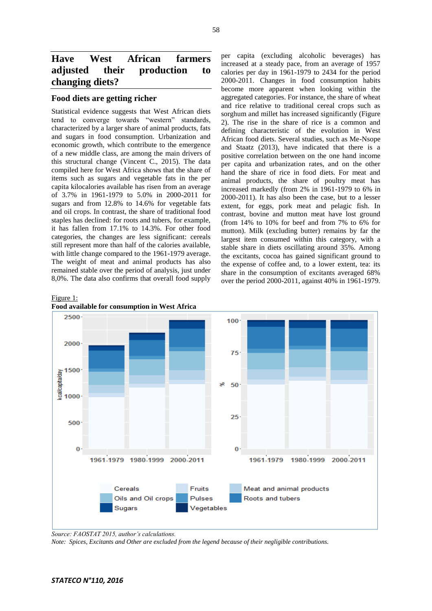# **Have West African farmers adjusted their production to changing diets?**

#### **Food diets are getting richer**

Statistical evidence suggests that West African diets tend to converge towards "western" standards, characterized by a larger share of animal products, fats and sugars in food consumption. Urbanization and economic growth, which contribute to the emergence of a new middle class, are among the main drivers of this structural change (Vincent C., 2015). The data compiled here for West Africa shows that the share of items such as sugars and vegetable fats in the per capita kilocalories available has risen from an average of 3.7% in 1961-1979 to 5.0% in 2000-2011 for sugars and from 12.8% to 14.6% for vegetable fats and oil crops. In contrast, the share of traditional food staples has declined: for roots and tubers, for example, it has fallen from 17.1% to 14.3%. For other food categories, the changes are less significant: cereals still represent more than half of the calories available, with little change compared to the 1961-1979 average. The weight of meat and animal products has also remained stable over the period of analysis, just under 8,0%. The data also confirms that overall food supply

per capita (excluding alcoholic beverages) has increased at a steady pace, from an average of 1957 calories per day in 1961-1979 to 2434 for the period 2000-2011. Changes in food consumption habits become more apparent when looking within the aggregated categories. For instance, the share of wheat and rice relative to traditional cereal crops such as sorghum and millet has increased significantly (Figure 2). The rise in the share of rice is a common and defining characteristic of the evolution in West African food diets. Several studies, such as Me-Nsope and Staatz (2013), have indicated that there is a positive correlation between on the one hand income per capita and urbanization rates, and on the other hand the share of rice in food diets. For meat and animal products, the share of poultry meat has increased markedly (from 2% in 1961-1979 to 6% in 2000-2011). It has also been the case, but to a lesser extent, for eggs, pork meat and pelagic fish. In contrast, bovine and mutton meat have lost ground (from 14% to 10% for beef and from 7% to 6% for mutton). Milk (excluding butter) remains by far the largest item consumed within this category, with a stable share in diets oscillating around 35%. Among the excitants, cocoa has gained significant ground to the expense of coffee and, to a lower extent, tea: its share in the consumption of excitants averaged 68% over the period 2000-2011, against 40% in 1961-1979.







*Source: FAOSTAT 2015, author's calculations.*

*Note: Spices, Excitants and Other are excluded from the legend because of their negligible contributions.*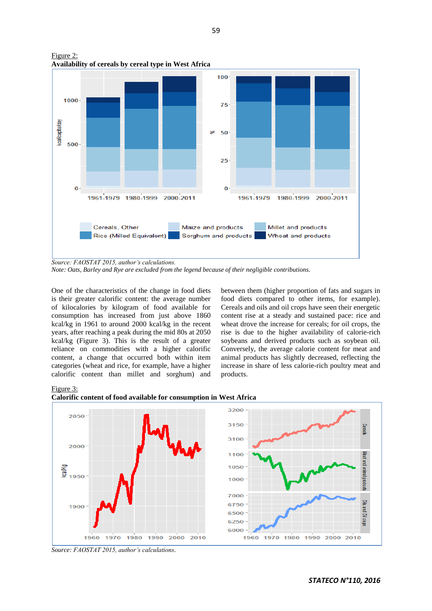

Figure 2: **Availability of cereals by cereal type in West Africa**

*Source: FAOSTAT 2015, author's calculations.*

*Note: Oats, Barley and Rye are excluded from the legend because of their negligible contributions.*

One of the characteristics of the change in food diets is their greater calorific content: the average number of kilocalories by kilogram of food available for consumption has increased from just above 1860 kcal/kg in 1961 to around 2000 kcal/kg in the recent years, after reaching a peak during the mid 80s at 2050 kcal/kg (Figure 3). This is the result of a greater reliance on commodities with a higher calorific content, a change that occurred both within item categories (wheat and rice, for example, have a higher calorific content than millet and sorghum) and

between them (higher proportion of fats and sugars in food diets compared to other items, for example). Cereals and oils and oil crops have seen their energetic content rise at a steady and sustained pace: rice and wheat drove the increase for cereals; for oil crops, the rise is due to the higher availability of calorie-rich soybeans and derived products such as soybean oil. Conversely, the average calorie content for meat and animal products has slightly decreased, reflecting the increase in share of less calorie-rich poultry meat and products.

#### Figure 3:





*Source: FAOSTAT 2015, author's calculations.*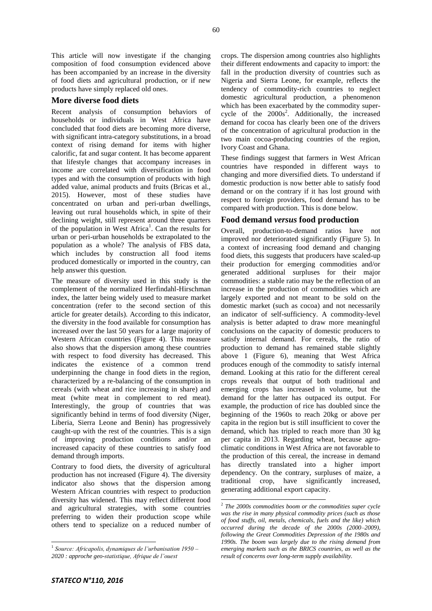This article will now investigate if the changing composition of food consumption evidenced above has been accompanied by an increase in the diversity of food diets and agricultural production, or if new products have simply replaced old ones.

#### **More diverse food diets**

Recent analysis of consumption behaviors of households or individuals in West Africa have concluded that food diets are becoming more diverse, with significant intra-category substitutions, in a broad context of rising demand for items with higher calorific, fat and sugar content. It has become apparent that lifestyle changes that accompany increases in income are correlated with diversification in food types and with the consumption of products with high added value, animal products and fruits (Bricas et al., 2015). However, most of these studies have concentrated on urban and peri-urban dwellings, leaving out rural households which, in spite of their declining weight, still represent around three quarters of the population in West Africa<sup>1</sup>. Can the results for urban or peri-urban households be extrapolated to the population as a whole? The analysis of FBS data, which includes by construction all food items produced domestically or imported in the country, can help answer this question.

The measure of diversity used in this study is the complement of the normalized Herfindahl-Hirschman index, the latter being widely used to measure market concentration (refer to the second section of this article for greater details). According to this indicator, the diversity in the food available for consumption has increased over the last 50 years for a large majority of Western African countries (Figure 4). This measure also shows that the dispersion among these countries with respect to food diversity has decreased. This indicates the existence of a common trend underpinning the change in food diets in the region, characterized by a re-balancing of the consumption in cereals (with wheat and rice increasing in share) and meat (white meat in complement to red meat). Interestingly, the group of countries that was significantly behind in terms of food diversity (Niger, Liberia, Sierra Leone and Benin) has progressively caught-up with the rest of the countries. This is a sign of improving production conditions and/or an increased capacity of these countries to satisfy food demand through imports.

Contrary to food diets, the diversity of agricultural production has not increased (Figure 4). The diversity indicator also shows that the dispersion among Western African countries with respect to production diversity has widened. This may reflect different food and agricultural strategies, with some countries preferring to widen their production scope while others tend to specialize on a reduced number of

crops. The dispersion among countries also highlights their different endowments and capacity to import: the fall in the production diversity of countries such as Nigeria and Sierra Leone, for example, reflects the tendency of commodity-rich countries to neglect domestic agricultural production, a phenomenon which has been exacerbated by the commodity supercycle of the  $2000s^2$ . Additionally, the increased demand for cocoa has clearly been one of the drivers of the concentration of agricultural production in the two main cocoa-producing countries of the region, Ivory Coast and Ghana.

These findings suggest that farmers in West African countries have responded in different ways to changing and more diversified diets. To understand if domestic production is now better able to satisfy food demand or on the contrary if it has lost ground with respect to foreign providers, food demand has to be compared with production. This is done below.

#### **Food demand** *versus* **food production**

Overall, production-to-demand ratios have not improved nor deteriorated significantly (Figure 5). In a context of increasing food demand and changing food diets, this suggests that producers have scaled-up their production for emerging commodities and/or generated additional surpluses for their major commodities: a stable ratio may be the reflection of an increase in the production of commodities which are largely exported and not meant to be sold on the domestic market (such as cocoa) and not necessarily an indicator of self-sufficiency. A commodity-level analysis is better adapted to draw more meaningful conclusions on the capacity of domestic producers to satisfy internal demand. For cereals, the ratio of production to demand has remained stable slightly above 1 (Figure 6), meaning that West Africa produces enough of the commodity to satisfy internal demand. Looking at this ratio for the different cereal crops reveals that output of both traditional and emerging crops has increased in volume, but the demand for the latter has outpaced its output. For example, the production of rice has doubled since the beginning of the 1960s to reach 20kg or above per capita in the region but is still insufficient to cover the demand, which has tripled to reach more than 30 kg per capita in 2013. Regarding wheat, because agroclimatic conditions in West Africa are not favorable to the production of this cereal, the increase in demand has directly translated into a higher import dependency. On the contrary, surpluses of maize, a traditional crop, have significantly increased, generating additional export capacity.

 1 *Source: Africapolis, dynamiques de l'urbanisation 1950 – 2020 : approche geo-statistique, Afrique de l'ouest*

 2 *The 2000s commodities boom or the commodities super cycle was the rise in many physical commodity prices (such as those of food stuffs, oil, metals, chemicals, fuels and the like) which occurred during the decade of the 2000s (2000–2009), following the Great Commodities Depression of the 1980s and 1990s. The boom was largely due to the rising demand from emerging markets such as the BRICS countries, as well as the result of concerns over long-term supply availability.*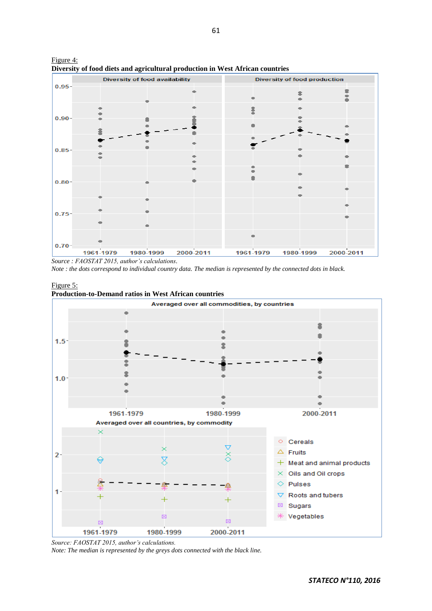

Figure 4: **Diversity of food diets and agricultural production in West African countries**

*Source : FAOSTAT 2015, author's calculations.*

*Note : the dots correspond to individual country data. The median is represented by the connected dots in black.*

Figure 5:



*Source: FAOSTAT 2015, author's calculations.*

*Note: The median is represented by the greys dots connected with the black line.*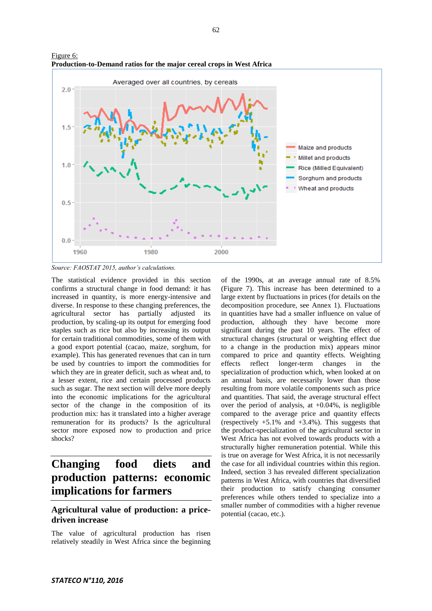

Figure 6: **Production-to-Demand ratios for the major cereal crops in West Africa**

*Source: FAOSTAT 2015, author's calculations.*

The statistical evidence provided in this section confirms a structural change in food demand: it has increased in quantity, is more energy-intensive and diverse. In response to these changing preferences, the agricultural sector has partially adjusted its production, by scaling-up its output for emerging food staples such as rice but also by increasing its output for certain traditional commodities, some of them with a good export potential (cacao, maize, sorghum, for example). This has generated revenues that can in turn be used by countries to import the commodities for which they are in greater deficit, such as wheat and, to a lesser extent, rice and certain processed products such as sugar. The next section will delve more deeply into the economic implications for the agricultural sector of the change in the composition of its production mix: has it translated into a higher average remuneration for its products? Is the agricultural sector more exposed now to production and price shocks?

# **Changing food diets and production patterns: economic implications for farmers**

### **Agricultural value of production: a pricedriven increase**

The value of agricultural production has risen relatively steadily in West Africa since the beginning of the 1990s, at an average annual rate of 8.5% (Figure 7). This increase has been determined to a large extent by fluctuations in prices (for details on the decomposition procedure, see Annex 1). Fluctuations in quantities have had a smaller influence on value of production, although they have become more significant during the past 10 years. The effect of structural changes (structural or weighting effect due to a change in the production mix) appears minor compared to price and quantity effects. Weighting effects reflect longer-term changes in the specialization of production which, when looked at on an annual basis, are necessarily lower than those resulting from more volatile components such as price and quantities. That said, the average structural effect over the period of analysis, at  $+0.04\%$ , is negligible compared to the average price and quantity effects (respectively  $+5.1\%$  and  $+3.4\%$ ). This suggests that the product-specialization of the agricultural sector in West Africa has not evolved towards products with a structurally higher remuneration potential. While this is true on average for West Africa, it is not necessarily the case for all individual countries within this region. Indeed, section 3 has revealed different specialization patterns in West Africa, with countries that diversified their production to satisfy changing consumer preferences while others tended to specialize into a smaller number of commodities with a higher revenue potential (cacao, etc.).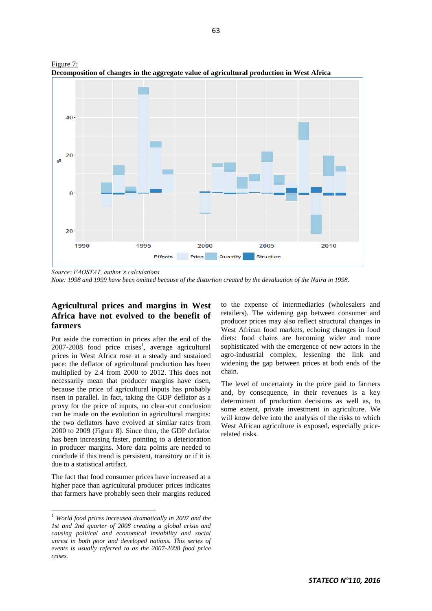

Figure 7: **Decomposition of changes in the aggregate value of agricultural production in West Africa**

*Source: FAOSTAT, author's calculations*

*Note: 1998 and 1999 have been omitted because of the distortion created by the devaluation of the Naira in 1998.*

### **Agricultural prices and margins in West Africa have not evolved to the benefit of farmers**

Put aside the correction in prices after the end of the  $2007 - 2008$  food price crises<sup>1</sup>, average agricultural prices in West Africa rose at a steady and sustained pace: the deflator of agricultural production has been multiplied by 2.4 from 2000 to 2012. This does not necessarily mean that producer margins have risen, because the price of agricultural inputs has probably risen in parallel. In fact, taking the GDP deflator as a proxy for the price of inputs, no clear-cut conclusion can be made on the evolution in agricultural margins: the two deflators have evolved at similar rates from 2000 to 2009 (Figure 8). Since then, the GDP deflator has been increasing faster, pointing to a deterioration in producer margins. More data points are needed to conclude if this trend is persistent, transitory or if it is due to a statistical artifact.

The fact that food consumer prices have increased at a higher pace than agricultural producer prices indicates that farmers have probably seen their margins reduced

l

to the expense of intermediaries (wholesalers and retailers). The widening gap between consumer and producer prices may also reflect structural changes in West African food markets, echoing changes in food diets: food chains are becoming wider and more sophisticated with the emergence of new actors in the agro-industrial complex, lessening the link and widening the gap between prices at both ends of the chain.

The level of uncertainty in the price paid to farmers and, by consequence, in their revenues is a key determinant of production decisions as well as, to some extent, private investment in agriculture. We will know delve into the analysis of the risks to which West African agriculture is exposed, especially pricerelated risks.

<sup>1</sup> *World food prices increased dramatically in 2007 and the 1st and 2nd quarter of 2008 creating a global crisis and causing political and economical instability and social unrest in both poor and developed nations. This series of events is usually referred to as the 2007-2008 food price crises.*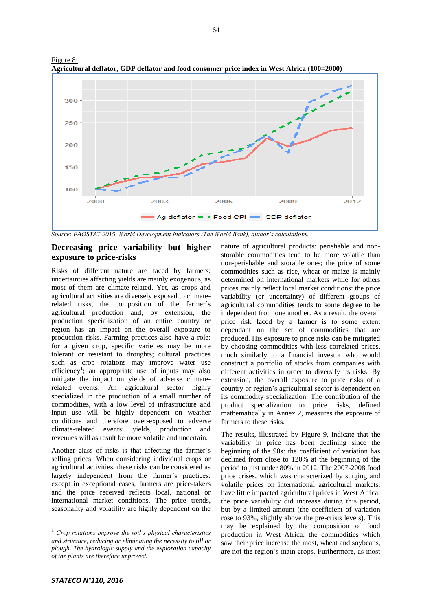

Figure 8: **Agricultural deflator, GDP deflator and food consumer price index in West Africa (100=2000)**

*Source: FAOSTAT 2015, World Development Indicators (The World Bank), author's calculations.*

#### **Decreasing price variability but higher exposure to price-risks**

Risks of different nature are faced by farmers: uncertainties affecting yields are mainly exogenous, as most of them are climate-related. Yet, as crops and agricultural activities are diversely exposed to climaterelated risks, the composition of the farmer's agricultural production and, by extension, the production specialization of an entire country or region has an impact on the overall exposure to production risks. Farming practices also have a role: for a given crop, specific varieties may be more tolerant or resistant to droughts; cultural practices such as crop rotations may improve water use efficiency<sup>1</sup>; an appropriate use of inputs may also mitigate the impact on yields of adverse climaterelated events. An agricultural sector highly specialized in the production of a small number of commodities, with a low level of infrastructure and input use will be highly dependent on weather conditions and therefore over-exposed to adverse climate-related events: yields, production and revenues will as result be more volatile and uncertain.

Another class of risks is that affecting the farmer's selling prices. When considering individual crops or agricultural activities, these risks can be considered as largely independent from the farmer's practices: except in exceptional cases, farmers are price-takers and the price received reflects local, national or international market conditions. The price trends, seasonality and volatility are highly dependent on the

nature of agricultural products: perishable and nonstorable commodities tend to be more volatile than non-perishable and storable ones; the price of some commodities such as rice, wheat or maize is mainly determined on international markets while for others prices mainly reflect local market conditions: the price variability (or uncertainty) of different groups of agricultural commodities tends to some degree to be independent from one another. As a result, the overall price risk faced by a farmer is to some extent dependant on the set of commodities that are produced. His exposure to price risks can be mitigated by choosing commodities with less correlated prices, much similarly to a financial investor who would construct a portfolio of stocks from companies with different activities in order to diversify its risks. By extension, the overall exposure to price risks of a country or region's agricultural sector is dependent on its commodity specialization. The contribution of the product specialization to price risks, defined mathematically in Annex 2, measures the exposure of farmers to these risks.

The results, illustrated by Figure 9, indicate that the variability in price has been declining since the beginning of the 90s: the coefficient of variation has declined from close to 120% at the beginning of the period to just under 80% in 2012. The 2007-2008 food price crises, which was characterized by surging and volatile prices on international agricultural markets, have little impacted agricultural prices in West Africa: the price variability did increase during this period, but by a limited amount (the coefficient of variation rose to 93%, slightly above the pre-crisis levels). This may be explained by the composition of food production in West Africa: the commodities which saw their price increase the most, wheat and soybeans, are not the region's main crops. Furthermore, as most

 $\overline{a}$ 

<sup>&</sup>lt;sup>1</sup> Crop rotations improve the soil's physical characteristics *and structure, reducing or eliminating the necessity to till or plough. The hydrologic supply and the exploration capacity of the plants are therefore improved.*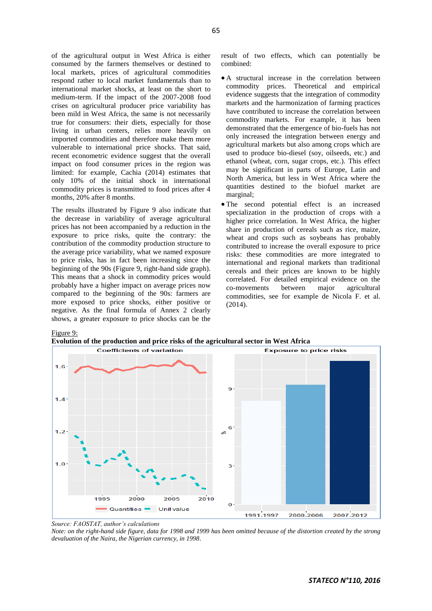of the agricultural output in West Africa is either consumed by the farmers themselves or destined to local markets, prices of agricultural commodities respond rather to local market fundamentals than to international market shocks, at least on the short to medium-term. If the impact of the 2007-2008 food crises on agricultural producer price variability has been mild in West Africa, the same is not necessarily true for consumers: their diets, especially for those living in urban centers, relies more heavily on imported commodities and therefore make them more vulnerable to international price shocks. That said, recent econometric evidence suggest that the overall impact on food consumer prices in the region was limited: for example, Cachia (2014) estimates that only 10% of the initial shock in international commodity prices is transmitted to food prices after 4 months, 20% after 8 months.

The results illustrated by Figure 9 also indicate that the decrease in variability of average agricultural prices has not been accompanied by a reduction in the exposure to price risks, quite the contrary: the contribution of the commodity production structure to the average price variability, what we named exposure to price risks, has in fact been increasing since the beginning of the 90s (Figure 9, right-hand side graph). This means that a shock in commodity prices would probably have a higher impact on average prices now compared to the beginning of the 90s: farmers are more exposed to price shocks, either positive or negative. As the final formula of Annex 2 clearly shows, a greater exposure to price shocks can be the

result of two effects, which can potentially be combined:

- A structural increase in the correlation between commodity prices. Theoretical and empirical evidence suggests that the integration of commodity markets and the harmonization of farming practices have contributed to increase the correlation between commodity markets. For example, it has been demonstrated that the emergence of bio-fuels has not only increased the integration between energy and agricultural markets but also among crops which are used to produce bio-diesel (soy, oilseeds, etc.) and ethanol (wheat, corn, sugar crops, etc.). This effect may be significant in parts of Europe, Latin and North America, but less in West Africa where the quantities destined to the biofuel market are marginal;
- The second potential effect is an increased specialization in the production of crops with a higher price correlation. In West Africa, the higher share in production of cereals such as rice, maize, wheat and crops such as soybeans has probably contributed to increase the overall exposure to price risks: these commodities are more integrated to international and regional markets than traditional cereals and their prices are known to be highly correlated. For detailed empirical evidence on the co-movements between major agricultural commodities, see for example de Nicola F. et al. (2014).

Figure 9:

**Evolution of the production and price risks of the agricultural sector in West Africa**



*Source: FAOSTAT, author's calculations*

*Note: on the right-hand side figure, data for 1998 and 1999 has been omitted because of the distortion created by the strong devaluation of the Naira, the Nigerian currency, in 1998*.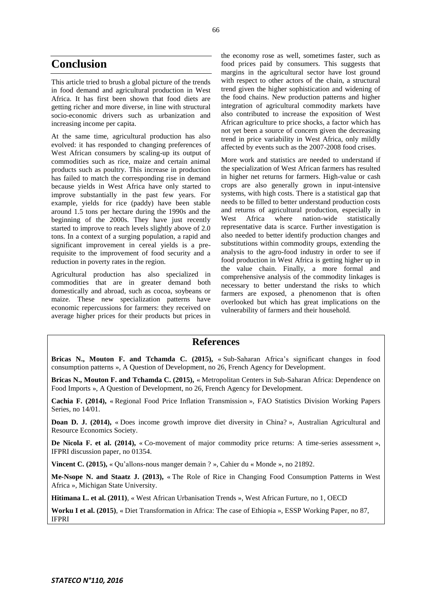# **Conclusion**

This article tried to brush a global picture of the trends in food demand and agricultural production in West Africa. It has first been shown that food diets are getting richer and more diverse, in line with structural socio-economic drivers such as urbanization and increasing income per capita.

At the same time, agricultural production has also evolved: it has responded to changing preferences of West African consumers by scaling-up its output of commodities such as rice, maize and certain animal products such as poultry. This increase in production has failed to match the corresponding rise in demand because yields in West Africa have only started to improve substantially in the past few years. For example, yields for rice (paddy) have been stable around 1.5 tons per hectare during the 1990s and the beginning of the 2000s. They have just recently started to improve to reach levels slightly above of 2.0 tons. In a context of a surging population, a rapid and significant improvement in cereal yields is a prerequisite to the improvement of food security and a reduction in poverty rates in the region.

Agricultural production has also specialized in commodities that are in greater demand both domestically and abroad, such as cocoa, soybeans or maize. These new specialization patterns have economic repercussions for farmers: they received on average higher prices for their products but prices in the economy rose as well, sometimes faster, such as food prices paid by consumers. This suggests that margins in the agricultural sector have lost ground with respect to other actors of the chain, a structural trend given the higher sophistication and widening of the food chains. New production patterns and higher integration of agricultural commodity markets have also contributed to increase the exposition of West African agriculture to price shocks, a factor which has not yet been a source of concern given the decreasing trend in price variability in West Africa, only mildly affected by events such as the 2007-2008 food crises.

More work and statistics are needed to understand if the specialization of West African farmers has resulted in higher net returns for farmers. High-value or cash crops are also generally grown in input-intensive systems, with high costs. There is a statistical gap that needs to be filled to better understand production costs and returns of agricultural production, especially in West Africa where nation-wide statistically representative data is scarce. Further investigation is also needed to better identify production changes and substitutions within commodity groups, extending the analysis to the agro-food industry in order to see if food production in West Africa is getting higher up in the value chain. Finally, a more formal and comprehensive analysis of the commodity linkages is necessary to better understand the risks to which farmers are exposed, a phenomenon that is often overlooked but which has great implications on the vulnerability of farmers and their household.

### **References**

**Bricas N., Mouton F. and Tchamda C. (2015),** « Sub-Saharan Africa's significant changes in food consumption patterns », A Question of Development, no 26, French Agency for Development.

**Bricas N., Mouton F. and Tchamda C. (2015),** « Metropolitan Centers in Sub-Saharan Africa: Dependence on Food Imports », A Question of Development, no 26, French Agency for Development.

**Cachia F. (2014),** « Regional Food Price Inflation Transmission », FAO Statistics Division Working Papers Series, no 14/01.

**Doan D. J. (2014),** « Does income growth improve diet diversity in China? », Australian Agricultural and Resource Economics Society.

**De Nicola F. et al. (2014),** « Co-movement of major commodity price returns: A time-series assessment », IFPRI discussion paper, no 01354.

**Vincent C. (2015),** « Qu'allons-nous manger demain ? », Cahier du « Monde », no 21892.

**Me-Nsope N. and Staatz J. (2013),** « The Role of Rice in Changing Food Consumption Patterns in West Africa », Michigan State University.

**Hitimana L. et al. (2011)**, « West African Urbanisation Trends », West African Furture, no 1, OECD

**Worku I et al. (2015)**, « Diet Transformation in Africa: The case of Ethiopia », ESSP Working Paper, no 87, IFPRI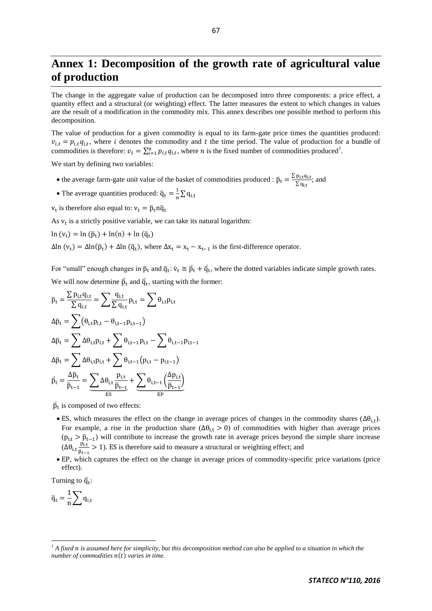# **Annex 1: Decomposition of the growth rate of agricultural value of production**

The change in the aggregate value of production can be decomposed intro three components: a price effect, a quantity effect and a structural (or weighting) effect. The latter measures the extent to which changes in values are the result of a modification in the commodity mix. This annex describes one possible method to perform this decomposition.

The value of production for a given commodity is equal to its farm-gate price times the quantities produced:  $v_{i,t} = p_{i,t} q_{i,t}$ , where i denotes the commodity and t the time period. The value of production for a bundle of commodities is therefore:  $v_t = \sum_{i=1}^n p_{i,t} q_{i,t}$ , where *n* is the fixed number of commodities produced<sup>1</sup>.

We start by defining two variables:

- the average farm-gate unit value of the basket of commodities produced :  $\bar{p}_t = \frac{\sum_{i=1}^{n} p_i}{n}$  $\frac{P1, \text{t} \text{u1}, \text{t}}{\sum q_{\text{i}} t}$ ; and
- The average quantities produced:  $\overline{q}_t = \frac{1}{n}$  $\frac{1}{n}\sum$
- $v_t$  is therefore also equal to:

As  $v_t$  is a strictly positive variable, we can take its natural logarithm:

$$
\ln(v_t) = \ln(\bar{p}_t) + \ln(n) + \ln(\bar{q}_t)
$$

 $\Delta \ln (v_t) = \Delta \ln (\bar{p}_t) + \Delta \ln (\bar{q}_t)$ , where  $\Delta x_t = x_t - x_{t-1}$  is the first-difference operator.

For "small" enough changes in  $\bar{p}_t$  and  $\bar{q}_t$ :  $\dot{v}_t \approx \dot{p}_t + \dot{q}_t$ , where the dotted variables indicate simple growth rates.  $\overline{1}$ We will now determine  $\vec{p}_t$  and  $\vec{q}_t$ , starting with the former:

$$
\begin{aligned} &\overline{p}_t = \frac{\sum p_{i,t}q_{i,t}}{\sum q_{i,t}} = \sum \frac{q_{i,t}}{\sum q_{i,t}} p_{i,t} = \sum \theta_{i,t}p_{i,t} \\ &\Delta \overline{p}_t = \sum \left(\theta_{i,t}p_{i,t} - \theta_{i,t-1}p_{i,t-1}\right) \\ &\Delta \overline{p}_t = \sum \Delta \theta_{i,t}p_{i,t} + \sum \theta_{i,t-1}p_{i,t} - \sum \theta_{i,t-1}p_{i,t-1} \\ &\Delta \overline{p}_t = \sum \Delta \theta_{i,t}p_{i,t} + \sum \theta_{i,t-1}\left(p_{i,t} - p_{i,t-1}\right) \\ &\overline{p}_t = \frac{\Delta \overline{p}_t}{\overline{p}_{t-1}} = \underbrace{\sum \Delta \theta_{i,t} \frac{p_{i,t}}{\overline{p}_{t-1}}}_{\text{ES}} + \underbrace{\sum \theta_{i,t-1}\left(\frac{\Delta p_{i,t}}{\overline{p}_{t-1}}\right)}_{\text{EP}} \end{aligned}
$$

 $\vec{p}_t$  is composed of two effects:

- ES, which measures the effect on the change in average prices of changes in the commodity shares  $(\Delta \theta_{i,t})$ . For example, a rise in the production share  $(\Delta \theta_{i,t} > 0)$  of commodities with higher than average prices  $(p_{i,t} > \bar{p}_{t-1})$  will contribute to increase the growth rate in average prices beyond the simple share increase  $(\Delta \theta_{i,t} \frac{p}{\epsilon})$  $\frac{p_{1,t}}{\bar{p}_{t-1}} > 1$ ). ES is therefore said to measure a structural or weighting effect; and
- , which captures the effect on the change in average prices of commodity-specific price variations (price effect).

Turning to  $\vec{q}_+$ : J

$$
\overline{q}_t = \frac{1}{n} \sum q_{i,t}
$$

1

 $<sup>1</sup>$  A fixed  $n$  is assumed here for simplicity, but this decomposition method can also be applied to a situation in which the</sup> *number of commodities*  $n(t)$  varies in time.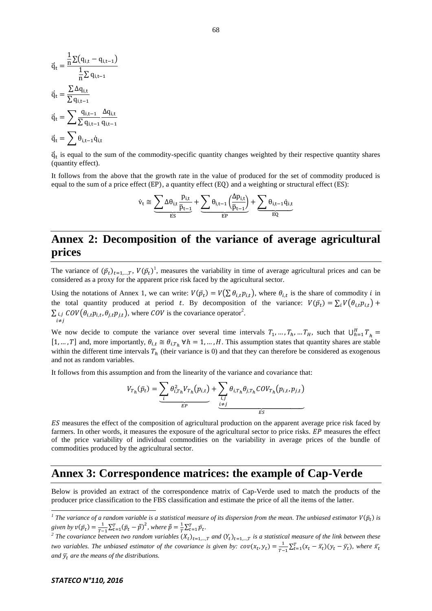$$
\begin{aligned} \vec{q}_t &= \frac{\frac{1}{n}\Sigma\big(q_{i,t}-q_{i,t-1}\big)}{\frac{1}{n}\Sigma\,q_{i,t-1}}\\ \vec{q}_t &= \frac{\Sigma\,\Delta q_{i,t}}{\Sigma\,q_{i,t-1}}\\ \vec{q}_t &= \sum \frac{q_{i,t-1}}{\Sigma\,q_{i,t-1}}\frac{\Delta q_{i,t}}{q_{i,t-1}}\\ \vec{q}_t &= \sum \theta_{i,t-1}\vec{q}_{i,t} \end{aligned}
$$

 $\vec{q}_t$  is equal to the sum of the commodity-specific quantity changes weighted by their respective quantity shares (quantity effect).

It follows from the above that the growth rate in the value of produced for the set of commodity produced is equal to the sum of a price effect ( $EP$ ), a quantity effect ( $EQ$ ) and a weighting or structural effect ( $ES$ ):

$$
\dot{v}_t \cong \underbrace{\sum \Delta \theta_{i,t}}_{ES} \frac{p_{i,t}}{\overline{p}_{t-1}} + \underbrace{\sum \theta_{i,t-1} \left(\frac{\Delta p_{i,t}}{\overline{p}_{t-1}}\right)}_{EP} + \underbrace{\sum \theta_{i,t-1} \dot{q}_{i,t}}_{EQ}
$$

# **Annex 2: Decomposition of the variance of average agricultural prices**

The variance of  $(\bar{p}_t)_{t=1,\dots,T}$ ,  $V(\bar{p}_t)$ <sup>1</sup>, measures the variability in time of average agricultural prices and can be considered as a proxy for the apparent price risk faced by the agricultural sector.

Using the notations of Annex 1, we can write:  $V(\bar{p}_t) = V(\sum \theta_{i,t} p_{i,t})$ , where  $\theta_{i,t}$  is the share of commodity *i* in the total quantity produced at period t. By decomposition of the variance:  $V(\bar{p}_t)$  $\sum_{i,j} \mathcal{C}ov(\theta_{i,t} p_{i,t}, \theta_{i,t} p_{i,t})$ , where  $\mathcal{C}ov$  is the covariance operator<sup>2</sup>.  $i \neq i$ 

We now decide to compute the variance over several time intervals  $T_1, ..., T_h, ..., T_H$ , such that  $\bigcup_{h=1}^H T_h$  $[1, ..., T]$  and, more importantly,  $\theta_{i,t} \cong \theta_{i,T}$ ,  $\forall h = 1, ..., H$ . This assumption states that quantity shares are stable within the different time intervals  $T_h$  (their variance is 0) and that they can therefore be considered as exogenous and not as random variables.

It follows from this assumption and from the linearity of the variance and covariance that:

$$
V_{T_h}(\bar{p}_t) = \underbrace{\sum_{i} \theta_{i,T_h}^2 V_{T_h}(p_{i,t})}_{EF} + \underbrace{\sum_{i,j} \theta_{i,T_h} \theta_{j,T_h} COV_{T_h}(p_{i,t}, p_{j,t})}_{EF}
$$

ES measures the effect of the composition of agricultural production on the apparent average price risk faced by farmers. In other words, it measures the exposure of the agricultural sector to price risks.  $EP$  measures the effect of the price variability of individual commodities on the variability in average prices of the bundle of commodities produced by the agricultural sector.

# **Annex 3: Correspondence matrices: the example of Cap-Verde**

Below is provided an extract of the correspondence matrix of Cap-Verde used to match the products of the producer price classification to the FBS classification and estimate the price of all the items of the latter.

*<sup>1</sup>*<br><sup>*I*</sup> The variance of a random variable is a statistical measure of its dispersion from the mean. The unbiased estimator  $V(\bar{p}_t)$  is *given by*  $v(\bar{p}_t) = \frac{1}{\pi}$  $\frac{1}{T-1}\sum_{t=1}^{T}(\bar{p}_t-\bar{\bar{p}})^2$ , where  $\bar{\bar{p}}=\frac{1}{T}$  $\frac{1}{T}\sum_{t=1}^{T}\bar{p}_t.$ 

<sup>&</sup>lt;sup>2</sup> The covariance between two random variables  $(X_t)_{t=1,...T}$  and  $(Y_t)_{t=1,...T}$  is a statistical measure of the link between these *two variables. The unbiased estimator of the covariance is given by:*  $cov(x_t, y_t) = \frac{1}{\pi}$  $\frac{1}{T-1}\sum_{t=1}^{T}(x_t-\bar{x}_t)(y_t-\bar{y}_t)$ , where *and*  $\overline{y}_t$  *are the means of the distributions.*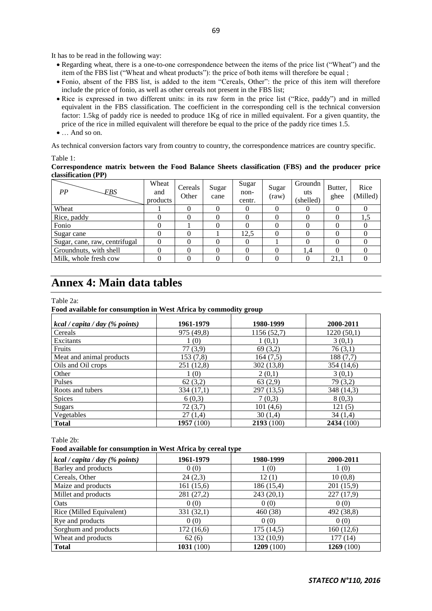It has to be read in the following way:

- Regarding wheat, there is a one-to-one correspondence between the items of the price list ("Wheat") and the item of the FBS list ("Wheat and wheat products"): the price of both items will therefore be equal ;
- Fonio, absent of the FBS list, is added to the item "Cereals, Other": the price of this item will therefore include the price of fonio, as well as other cereals not present in the FBS list;
- Rice is expressed in two different units: in its raw form in the price list ("Rice, paddy") and in milled equivalent in the FBS classification. The coefficient in the corresponding cell is the technical conversion factor: 1.5kg of paddy rice is needed to produce 1Kg of rice in milled equivalent. For a given quantity, the price of the rice in milled equivalent will therefore be equal to the price of the paddy rice times 1.5.
- And so on.

As technical conversion factors vary from country to country, the correspondence matrices are country specific.

Table 1:

#### **Correspondence matrix between the Food Balance Sheets classification (FBS) and the producer price classification (PP)**

| PP<br><b>FBS</b>              | Wheat<br>and<br>products | Cereals<br>Other | Sugar<br>cane | Sugar<br>non-<br>centr. | Sugar<br>$\text{(\text{raw})}$ | Groundn<br>uts<br>(shelled) | Butter,<br>ghee | Rice<br>(Milled) |
|-------------------------------|--------------------------|------------------|---------------|-------------------------|--------------------------------|-----------------------------|-----------------|------------------|
| Wheat                         |                          |                  |               | $\theta$                |                                | 0                           |                 |                  |
| Rice, paddy                   |                          |                  |               |                         |                                |                             |                 | 1.5              |
| Fonio                         |                          |                  |               |                         |                                |                             |                 |                  |
| Sugar cane                    |                          |                  |               | 12,5                    |                                |                             |                 |                  |
| Sugar, cane, raw, centrifugal |                          |                  |               |                         |                                |                             |                 |                  |
| Groundnuts, with shell        |                          |                  |               |                         |                                | 1,4                         |                 |                  |
| Milk, whole fresh cow         |                          |                  |               |                         |                                |                             | 21.1            |                  |

# **Annex 4: Main data tables**

Table 2a:

#### **Food available for consumption in West Africa by commodity group**

| kcal / capita / day (% points) | 1961-1979  | 1980-1999   | 2000-2011  |
|--------------------------------|------------|-------------|------------|
| Cereals                        | 975 (49,8) | 1156 (52,7) | 1220(50,1) |
| Excitants                      | 1 (0)      | 1(0,1)      | 3(0,1)     |
| Fruits                         | 77 (3,9)   | 69(3,2)     | 76(3,1)    |
| Meat and animal products       | 153 (7,8)  | 164 (7.5)   | 188 (7,7)  |
| Oils and Oil crops             | 251 (12,8) | 302 (13,8)  | 354 (14,6) |
| Other                          | 1(0)       | 2(0,1)      | 3(0,1)     |
| Pulses                         | 62(3,2)    | 63(2,9)     | 79 (3,2)   |
| Roots and tubers               | 334 (17,1) | 297 (13,5)  | 348 (14,3) |
| Spices                         | 6(0,3)     | 7(0,3)      | 8(0,3)     |
| <b>Sugars</b>                  | 72(3,7)    | 101(4,6)    | 121(5)     |
| Vegetables                     | 27(1.4)    | 30(1,4)     | 34(1.4)    |
| <b>Total</b>                   | 1957(100)  | 2193(100)   | 2434 (100) |

Table 2b:

**Food available for consumption in West Africa by cereal type**

| kcal / capita / day (% points) | 1961-1979    | 1980-1999  | 2000-2011  |
|--------------------------------|--------------|------------|------------|
| Barley and products            | 0(0)         | 1(0)       | 1(0)       |
| Cereals, Other                 | 24(2,3)      | 12(1)      | 10(0,8)    |
| Maize and products             | 161(15,6)    | 186 (15,4) | 201(15,9)  |
| Millet and products            | 281 (27,2)   | 243(20,1)  | 227(17,9)  |
| Oats                           | 0(0)         | 0(0)       | 0(0)       |
| Rice (Milled Equivalent)       | 331(32,1)    | 460 (38)   | 492 (38,8) |
| Rye and products               | 0(0)         | 0(0)       | 0(0)       |
| Sorghum and products           | 172(16,6)    | 175(14,5)  | 160(12,6)  |
| Wheat and products             | 62(6)        | 132(10,9)  | 177 (14)   |
| <b>Total</b>                   | 1031 $(100)$ | 1209 (100) | 1269(100)  |